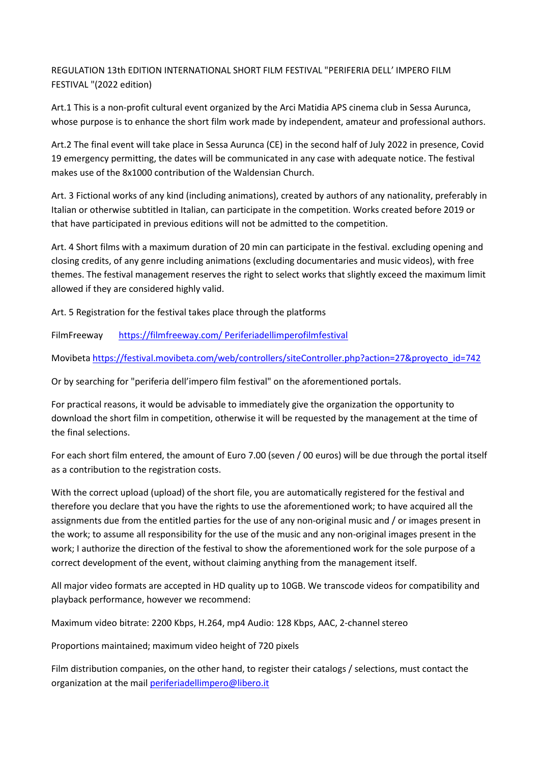REGULATION 13th EDITION INTERNATIONAL SHORT FILM FESTIVAL "PERIFERIA DELL' IMPERO FILM FESTIVAL "(2022 edition)

Art.1 This is a non-profit cultural event organized by the Arci Matidia APS cinema club in Sessa Aurunca, whose purpose is to enhance the short film work made by independent, amateur and professional authors.

Art.2 The final event will take place in Sessa Aurunca (CE) in the second half of July 2022 in presence, Covid 19 emergency permitting, the dates will be communicated in any case with adequate notice. The festival makes use of the 8x1000 contribution of the Waldensian Church.

Art. 3 Fictional works of any kind (including animations), created by authors of any nationality, preferably in Italian or otherwise subtitled in Italian, can participate in the competition. Works created before 2019 or that have participated in previous editions will not be admitted to the competition.

Art. 4 Short films with a maximum duration of 20 min can participate in the festival. excluding opening and closing credits, of any genre including animations (excluding documentaries and music videos), with free themes. The festival management reserves the right to select works that slightly exceed the maximum limit allowed if they are considered highly valid.

Art. 5 Registration for the festival takes place through the platforms

FilmFreeway [https://filmfreeway.com/ Periferiadellimperofilmfestival](https://filmfreeway.com/%20Periferiadellimperofilmfestival)

Movibeta [https://festival.movibeta.com/web/controllers/siteController.php?action=27&proyecto\\_id=742](https://festival.movibeta.com/web/controllers/siteController.php?action=27&proyecto_id=742)

Or by searching for "periferia dell'impero film festival" on the aforementioned portals.

For practical reasons, it would be advisable to immediately give the organization the opportunity to download the short film in competition, otherwise it will be requested by the management at the time of the final selections.

For each short film entered, the amount of Euro 7.00 (seven / 00 euros) will be due through the portal itself as a contribution to the registration costs.

With the correct upload (upload) of the short file, you are automatically registered for the festival and therefore you declare that you have the rights to use the aforementioned work; to have acquired all the assignments due from the entitled parties for the use of any non-original music and / or images present in the work; to assume all responsibility for the use of the music and any non-original images present in the work; I authorize the direction of the festival to show the aforementioned work for the sole purpose of a correct development of the event, without claiming anything from the management itself.

All major video formats are accepted in HD quality up to 10GB. We transcode videos for compatibility and playback performance, however we recommend:

Maximum video bitrate: 2200 Kbps, H.264, mp4 Audio: 128 Kbps, AAC, 2-channel stereo

Proportions maintained; maximum video height of 720 pixels

Film distribution companies, on the other hand, to register their catalogs / selections, must contact the organization at the mail [periferiadellimpero@libero.it](mailto:periferiadellimpero@libero.it)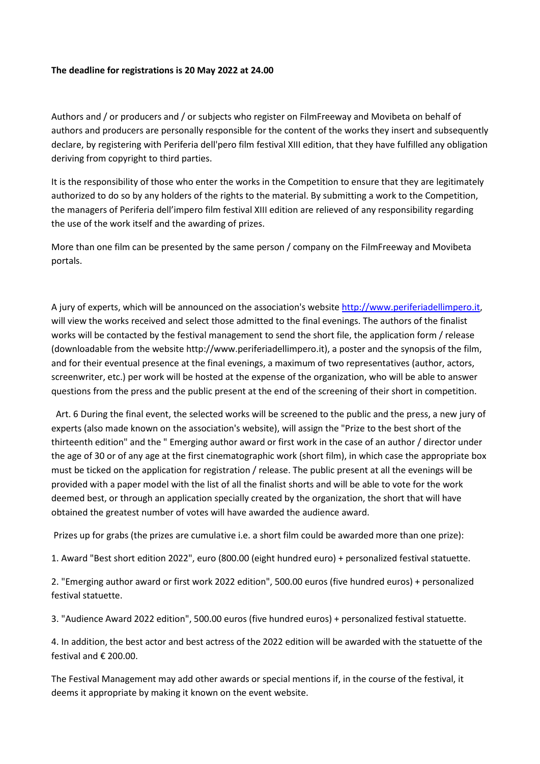## **The deadline for registrations is 20 May 2022 at 24.00**

Authors and / or producers and / or subjects who register on FilmFreeway and Movibeta on behalf of authors and producers are personally responsible for the content of the works they insert and subsequently declare, by registering with Periferia dell'pero film festival XIII edition, that they have fulfilled any obligation deriving from copyright to third parties.

It is the responsibility of those who enter the works in the Competition to ensure that they are legitimately authorized to do so by any holders of the rights to the material. By submitting a work to the Competition, the managers of Periferia dell'impero film festival XIII edition are relieved of any responsibility regarding the use of the work itself and the awarding of prizes.

More than one film can be presented by the same person / company on the FilmFreeway and Movibeta portals.

A jury of experts, which will be announced on the association's website [http://www.periferiadellimpero.it,](http://www.periferiadellimpero.it/) will view the works received and select those admitted to the final evenings. The authors of the finalist works will be contacted by the festival management to send the short file, the application form / release (downloadable from the website http://www.periferiadellimpero.it), a poster and the synopsis of the film, and for their eventual presence at the final evenings, a maximum of two representatives (author, actors, screenwriter, etc.) per work will be hosted at the expense of the organization, who will be able to answer questions from the press and the public present at the end of the screening of their short in competition.

 Art. 6 During the final event, the selected works will be screened to the public and the press, a new jury of experts (also made known on the association's website), will assign the "Prize to the best short of the thirteenth edition" and the " Emerging author award or first work in the case of an author / director under the age of 30 or of any age at the first cinematographic work (short film), in which case the appropriate box must be ticked on the application for registration / release. The public present at all the evenings will be provided with a paper model with the list of all the finalist shorts and will be able to vote for the work deemed best, or through an application specially created by the organization, the short that will have obtained the greatest number of votes will have awarded the audience award.

Prizes up for grabs (the prizes are cumulative i.e. a short film could be awarded more than one prize):

1. Award "Best short edition 2022", euro (800.00 (eight hundred euro) + personalized festival statuette.

2. "Emerging author award or first work 2022 edition", 500.00 euros (five hundred euros) + personalized festival statuette.

3. "Audience Award 2022 edition", 500.00 euros (five hundred euros) + personalized festival statuette.

4. In addition, the best actor and best actress of the 2022 edition will be awarded with the statuette of the festival and € 200.00.

The Festival Management may add other awards or special mentions if, in the course of the festival, it deems it appropriate by making it known on the event website.